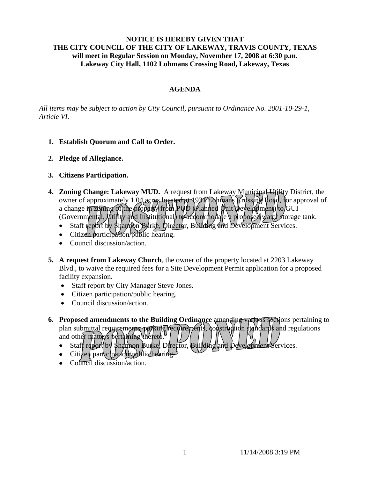## **NOTICE IS HEREBY GIVEN THAT THE CITY COUNCIL OF THE CITY OF LAKEWAY, TRAVIS COUNTY, TEXAS will meet in Regular Session on Monday, November 17, 2008 at 6:30 p.m. Lakeway City Hall, 1102 Lohmans Crossing Road, Lakeway, Texas**

# **AGENDA**

*All items may be subject to action by City Council, pursuant to Ordinance No. 2001-10-29-1, Article VI.* 

- **1. Establish Quorum and Call to Order.**
- **2. Pledge of Allegiance.**
- **3. Citizens Participation.**
- 4. **Zoning Change: Lakeway MUD.** A request from Lakeway Municipal Utility District, the owner of approximately 1.04 acres located at 1937 Lohmans Crossing Road, for approval of a change i<del>n zkning of the property</del> from PUD (Planned Unit Weyelkpment) to GUI (Governmental,  $\psi$ tility and Institutional) to accommodate a proposed water storage tank.
	- Staff report by \$Hampon Burke, Director, Building and Development Services.
	- Citizen participation/public hearing.
	- Council discussion/action.
- **5. A request from Lakeway Church**, the owner of the property located at 2203 Lakeway Blvd., to waive the required fees for a Site Development Permit application for a proposed facility expansion.
	- Staff report by City Manager Steve Jones.
	- Citizen participation/public hearing.
	- Council discussion/action.
- **6.** Proposed amendments to the Building Ordinance amending various sections pertaining to plan submittal requirements, parking requirements, construction standards and regulations and other matters pertaining thereto.
	- Staff report by Shannon Burke, Director, Building and Development Services.
	- Citizen participation/public hearing
	- Council discussion/action.